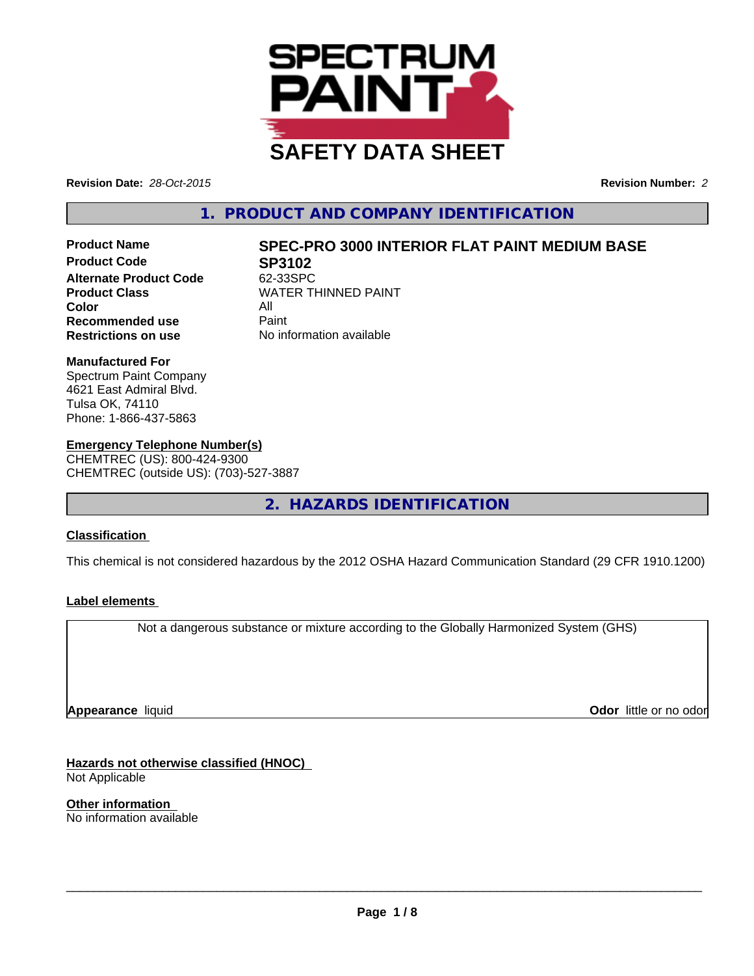

**Revision Date:** *28-Oct-2015* **Revision Number:** *2*

## **1. PRODUCT AND COMPANY IDENTIFICATION**

**Product Name SPEC-PRO 3000 INTERIOR FLAT PAINT MEDIUM BASE Product Code 62-33SPC**<br>Alternate Product Code 62-33SPC **Alternate Product Code Color** All **Recommended use Paint Restrictions on use** No information available

**Product Class** WATER THINNED PAINT<br>
Color

#### **Manufactured For**

Spectrum Paint Company 4621 East Admiral Blvd. Tulsa OK, 74110 Phone: 1-866-437-5863

## **Emergency Telephone Number(s)**

CHEMTREC (US): 800-424-9300 CHEMTREC (outside US): (703)-527-3887

**2. HAZARDS IDENTIFICATION**

## **Classification**

This chemical is not considered hazardous by the 2012 OSHA Hazard Communication Standard (29 CFR 1910.1200)

#### **Label elements**

Not a dangerous substance or mixture according to the Globally Harmonized System (GHS)

**Appearance** liquid

**Odor** little or no odor

**Hazards not otherwise classified (HNOC)** Not Applicable

**Other information** No information available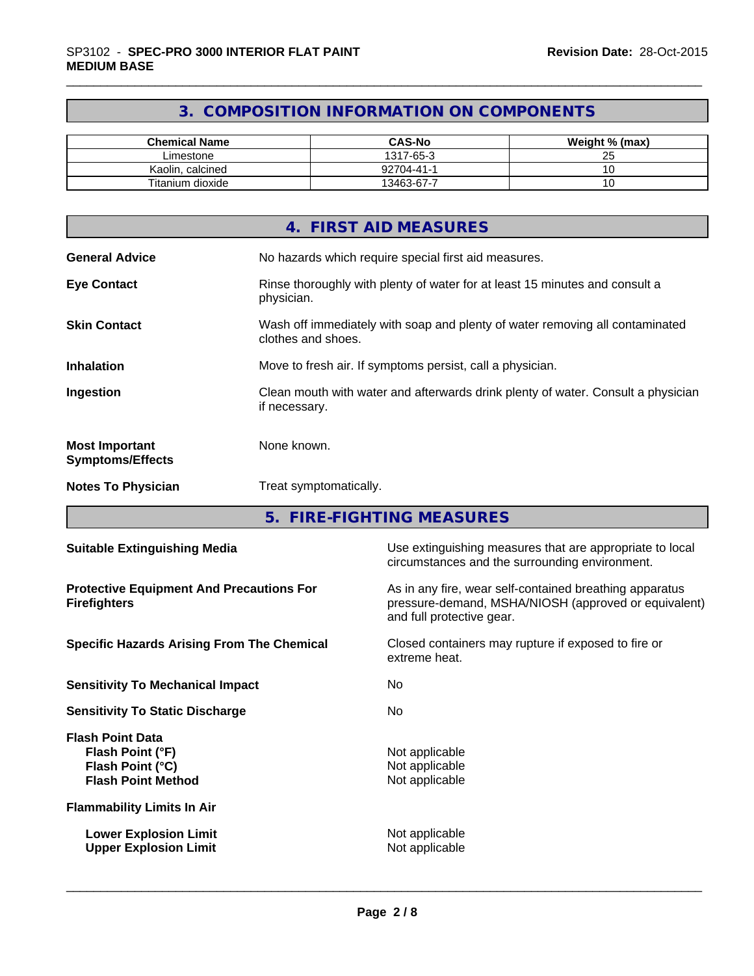# **3. COMPOSITION INFORMATION ON COMPONENTS**

| <b>Chemical Name</b> | <b>CAS-No</b> | Weight % (max)      |
|----------------------|---------------|---------------------|
| Limestone            | 1317-65-3     | $\sim$ $\sim$<br>Lu |
| Kaolin, calcined     | 92704-41-1    |                     |
| Titanium dioxide     | 13463-67-7    |                     |

|                                                  | 4. FIRST AID MEASURES                                                                              |
|--------------------------------------------------|----------------------------------------------------------------------------------------------------|
| <b>General Advice</b>                            | No hazards which require special first aid measures.                                               |
| <b>Eye Contact</b>                               | Rinse thoroughly with plenty of water for at least 15 minutes and consult a<br>physician.          |
| <b>Skin Contact</b>                              | Wash off immediately with soap and plenty of water removing all contaminated<br>clothes and shoes. |
| <b>Inhalation</b>                                | Move to fresh air. If symptoms persist, call a physician.                                          |
| Ingestion                                        | Clean mouth with water and afterwards drink plenty of water. Consult a physician<br>if necessary.  |
| <b>Most Important</b><br><b>Symptoms/Effects</b> | None known.                                                                                        |
| <b>Notes To Physician</b>                        | Treat symptomatically.                                                                             |

**5. FIRE-FIGHTING MEASURES**

| <b>Suitable Extinguishing Media</b>                                                          | Use extinguishing measures that are appropriate to local<br>circumstances and the surrounding environment.                                   |
|----------------------------------------------------------------------------------------------|----------------------------------------------------------------------------------------------------------------------------------------------|
| <b>Protective Equipment And Precautions For</b><br><b>Firefighters</b>                       | As in any fire, wear self-contained breathing apparatus<br>pressure-demand, MSHA/NIOSH (approved or equivalent)<br>and full protective gear. |
| <b>Specific Hazards Arising From The Chemical</b>                                            | Closed containers may rupture if exposed to fire or<br>extreme heat.                                                                         |
| <b>Sensitivity To Mechanical Impact</b>                                                      | No.                                                                                                                                          |
| <b>Sensitivity To Static Discharge</b>                                                       | No.                                                                                                                                          |
| <b>Flash Point Data</b><br>Flash Point (°F)<br>Flash Point (°C)<br><b>Flash Point Method</b> | Not applicable<br>Not applicable<br>Not applicable                                                                                           |
| <b>Flammability Limits In Air</b>                                                            |                                                                                                                                              |
| <b>Lower Explosion Limit</b><br><b>Upper Explosion Limit</b>                                 | Not applicable<br>Not applicable                                                                                                             |
|                                                                                              |                                                                                                                                              |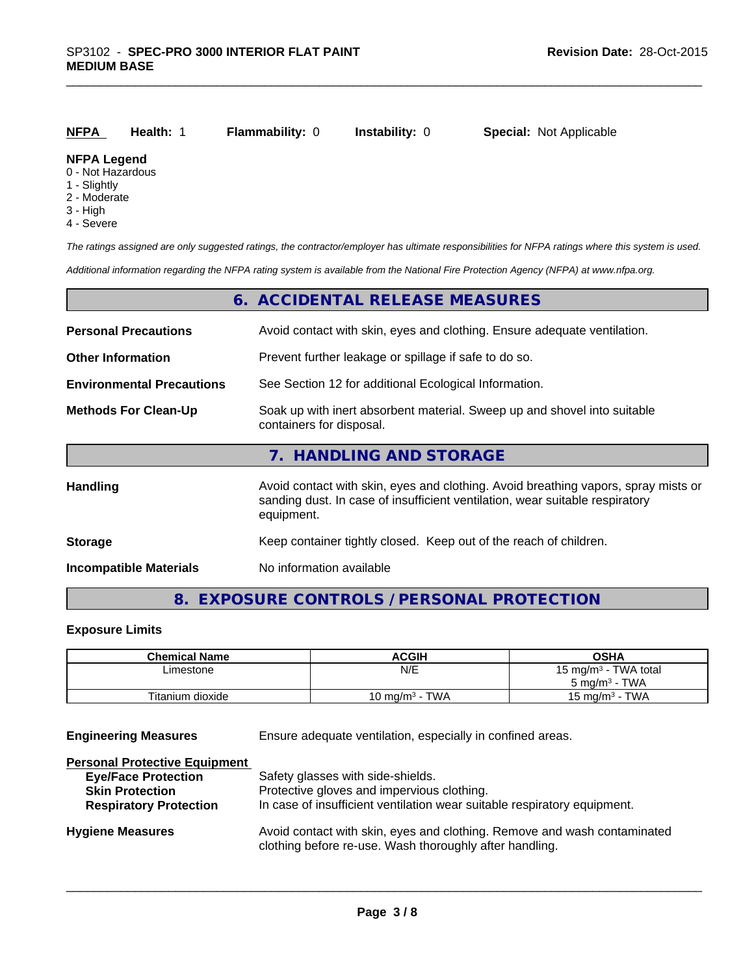| NFPA                                  | <b>Health: 1</b> | <b>Flammability: 0</b> | <b>Instability:</b> 0 | <b>Special:</b> Not Applicable |
|---------------------------------------|------------------|------------------------|-----------------------|--------------------------------|
| <b>NFPA Legend</b><br>0 Not Hozardous |                  |                        |                       |                                |

- 0 Not Hazardous
- 1 Slightly
- 2 Moderate
- 3 High
- 4 Severe

*The ratings assigned are only suggested ratings, the contractor/employer has ultimate responsibilities for NFPA ratings where this system is used.*

*Additional information regarding the NFPA rating system is available from the National Fire Protection Agency (NFPA) at www.nfpa.org.*

|                                  | 6. ACCIDENTAL RELEASE MEASURES                                                                                                                                                   |
|----------------------------------|----------------------------------------------------------------------------------------------------------------------------------------------------------------------------------|
| <b>Personal Precautions</b>      | Avoid contact with skin, eyes and clothing. Ensure adequate ventilation.                                                                                                         |
| <b>Other Information</b>         | Prevent further leakage or spillage if safe to do so.                                                                                                                            |
| <b>Environmental Precautions</b> | See Section 12 for additional Ecological Information.                                                                                                                            |
| <b>Methods For Clean-Up</b>      | Soak up with inert absorbent material. Sweep up and shovel into suitable<br>containers for disposal.                                                                             |
|                                  | 7. HANDLING AND STORAGE                                                                                                                                                          |
| <b>Handling</b>                  | Avoid contact with skin, eyes and clothing. Avoid breathing vapors, spray mists or<br>sanding dust. In case of insufficient ventilation, wear suitable respiratory<br>equipment. |
| <b>Storage</b>                   | Keep container tightly closed. Keep out of the reach of children.                                                                                                                |
| <b>Incompatible Materials</b>    | No information available                                                                                                                                                         |

# **8. EXPOSURE CONTROLS / PERSONAL PROTECTION**

#### **Exposure Limits**

| <b>Chemical Name</b> | <b>ACGIH</b>                    | OSHA                       |
|----------------------|---------------------------------|----------------------------|
| Limestone            | N/E                             | 15 mg/m $3$ - TWA total    |
|                      |                                 | $5 \text{ ma/m}^3$ - TWA   |
| Titanium dioxide     | · TWA<br>10 ma/m <sup>3</sup> - | ∙ TWA<br>15 mg/m $3 \cdot$ |

**Engineering Measures** Ensure adequate ventilation, especially in confined areas.

| Safety glasses with side-shields.                                                                                                   |
|-------------------------------------------------------------------------------------------------------------------------------------|
| Protective gloves and impervious clothing.                                                                                          |
| In case of insufficient ventilation wear suitable respiratory equipment.                                                            |
| Avoid contact with skin, eyes and clothing. Remove and wash contaminated<br>clothing before re-use. Wash thoroughly after handling. |
|                                                                                                                                     |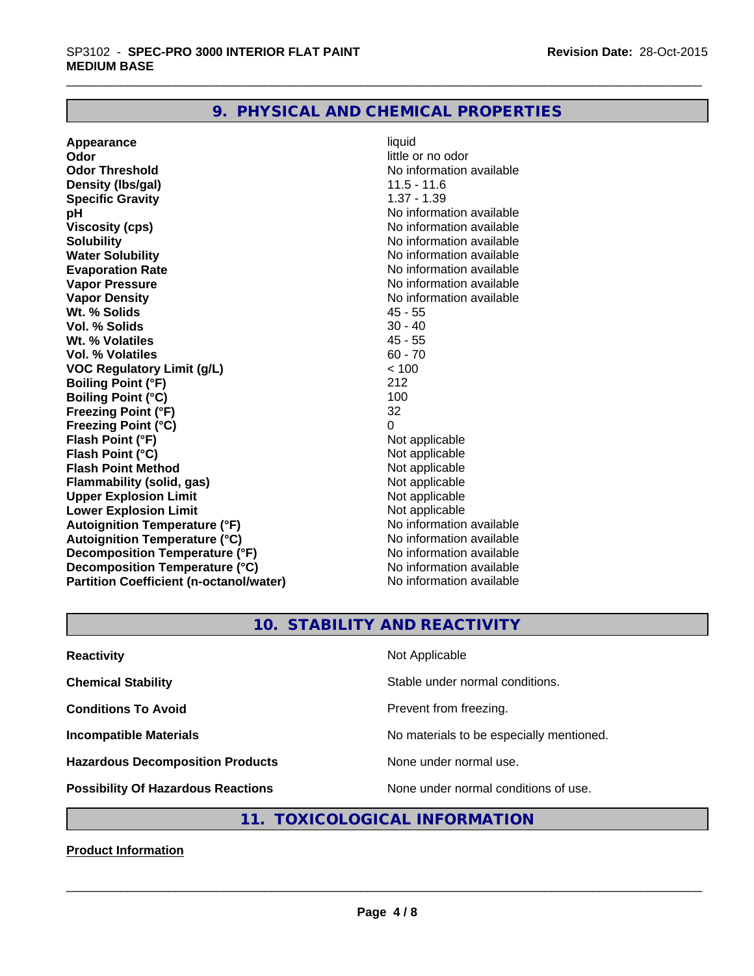## **9. PHYSICAL AND CHEMICAL PROPERTIES**

**Appearance** liquid **Odor Odor** little or no odor<br> **Odor Threshold Containery of the Containery of the Containery of the Containery of the Containery of the Containery of the Containery of the Containery of the Containery of the Container Density (lbs/gal)** 11.5 - 11.6 **Specific Gravity** 1.37 - 1.39 **pH** No information available **Viscosity (cps)** No information available **Solubility Note 2008 Note 2008 Note 2008 Note 2008 Note 2008 Note 2008 Note 2008 Note 2008 Note 2008 Note 2008 Note 2008 Note 2008 Note 2008 Note 2008 Note 2008 Note 2008 Note 2008 Note Water Solubility No information available No information available Evaporation Rate No information available**<br> **Vapor Pressure No information available**<br>
No information available **Vapor Density**<br> **We Solids**<br>
We Solids
2019<br>
We Note that the Solid A5 - 55 **Wt. % Solids** 45 - 55 **Vol. % Solids** 30 - 40<br> **Wt. % Volatiles** 45 - 55 **Wt. % Volatiles Vol. % Volatiles** 60 - 70<br> **VOC Requiatory Limit (q/L)** 60 - 70 **VOC** Regulatory Limit (g/L)  $\times$  10<br>Boiling Point (°F) 212 **Boiling Point (°F) Boiling Point (°C)** 100<br> **Preezing Point (°F)** 32 **Freezing Point (°F) Freezing Point (°C)** 0 **Flash Point (°F)**<br> **Flash Point (°C)**<br> **Flash Point (°C)**<br> **C Flash Point (°C)**<br> **Flash Point Method Contract Contract Contract Contract Contract Contract Contract Contract Contract Contract Contract Contract Contract Contract Contract Contract Contract Contract Contract Contract Flash Point Method**<br> **Flammability (solid, gas)** Not applicable Not applicable **Flammability (solid, gas)** Not applicable<br> **Upper Explosion Limit** Not applicable **Upper Explosion Limit Lower Explosion Limit Contract Accord Accord Accord Accord Accord Accord Accord Accord Accord Accord Accord Accord Accord Accord Accord Accord Accord Accord Accord Accord Accord Accord Accord Accord Accord Accord Accord Autoignition Temperature (°F)**<br> **Autoignition Temperature (°C)** No information available **Autoignition Temperature (°C) Decomposition Temperature (°F)** No information available **Decomposition Temperature (°C)** No information available<br> **Partition Coefficient (n-octanol/water)** No information available **Partition Coefficient (n-octanol/water)** 

**No information available No information available** 

# **10. STABILITY AND REACTIVITY**

| <b>Reactivity</b>                         | Not Applicable                           |
|-------------------------------------------|------------------------------------------|
| <b>Chemical Stability</b>                 | Stable under normal conditions.          |
| <b>Conditions To Avoid</b>                | Prevent from freezing.                   |
| <b>Incompatible Materials</b>             | No materials to be especially mentioned. |
| <b>Hazardous Decomposition Products</b>   | None under normal use.                   |
| <b>Possibility Of Hazardous Reactions</b> | None under normal conditions of use.     |

## **11. TOXICOLOGICAL INFORMATION**

**Product Information**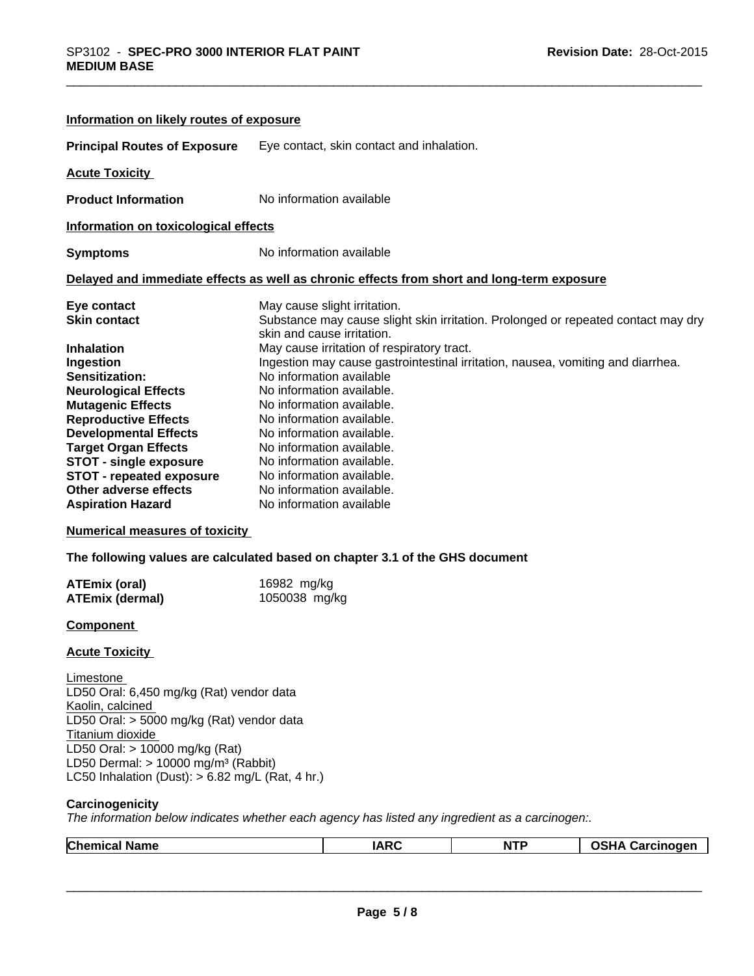| Information on likely routes of exposure                                                                                                                                                                                                                                                                                                                                                            |                                                                                                                                                                                                                                                                                                                                                                                                                                                                                                                              |
|-----------------------------------------------------------------------------------------------------------------------------------------------------------------------------------------------------------------------------------------------------------------------------------------------------------------------------------------------------------------------------------------------------|------------------------------------------------------------------------------------------------------------------------------------------------------------------------------------------------------------------------------------------------------------------------------------------------------------------------------------------------------------------------------------------------------------------------------------------------------------------------------------------------------------------------------|
| <b>Principal Routes of Exposure</b>                                                                                                                                                                                                                                                                                                                                                                 | Eye contact, skin contact and inhalation.                                                                                                                                                                                                                                                                                                                                                                                                                                                                                    |
| <b>Acute Toxicity</b>                                                                                                                                                                                                                                                                                                                                                                               |                                                                                                                                                                                                                                                                                                                                                                                                                                                                                                                              |
| <b>Product Information</b>                                                                                                                                                                                                                                                                                                                                                                          | No information available                                                                                                                                                                                                                                                                                                                                                                                                                                                                                                     |
| Information on toxicological effects                                                                                                                                                                                                                                                                                                                                                                |                                                                                                                                                                                                                                                                                                                                                                                                                                                                                                                              |
| <b>Symptoms</b>                                                                                                                                                                                                                                                                                                                                                                                     | No information available                                                                                                                                                                                                                                                                                                                                                                                                                                                                                                     |
|                                                                                                                                                                                                                                                                                                                                                                                                     | Delayed and immediate effects as well as chronic effects from short and long-term exposure                                                                                                                                                                                                                                                                                                                                                                                                                                   |
| Eye contact<br><b>Skin contact</b>                                                                                                                                                                                                                                                                                                                                                                  | May cause slight irritation.<br>Substance may cause slight skin irritation. Prolonged or repeated contact may dry<br>skin and cause irritation.                                                                                                                                                                                                                                                                                                                                                                              |
| <b>Inhalation</b><br>Ingestion<br>Sensitization:<br><b>Neurological Effects</b><br><b>Mutagenic Effects</b><br><b>Reproductive Effects</b><br><b>Developmental Effects</b><br><b>Target Organ Effects</b><br><b>STOT - single exposure</b><br><b>STOT - repeated exposure</b><br>Other adverse effects<br><b>Aspiration Hazard</b><br><b>Numerical measures of toxicity</b><br><b>ATEmix (oral)</b> | May cause irritation of respiratory tract.<br>Ingestion may cause gastrointestinal irritation, nausea, vomiting and diarrhea.<br>No information available<br>No information available.<br>No information available.<br>No information available.<br>No information available.<br>No information available.<br>No information available.<br>No information available.<br>No information available.<br>No information available<br>The following values are calculated based on chapter 3.1 of the GHS document<br>16982 mg/kg |
| <b>ATEmix (dermal)</b>                                                                                                                                                                                                                                                                                                                                                                              | 1050038 mg/kg                                                                                                                                                                                                                                                                                                                                                                                                                                                                                                                |
| <b>Component</b>                                                                                                                                                                                                                                                                                                                                                                                    |                                                                                                                                                                                                                                                                                                                                                                                                                                                                                                                              |
| <b>Acute Toxicity</b>                                                                                                                                                                                                                                                                                                                                                                               |                                                                                                                                                                                                                                                                                                                                                                                                                                                                                                                              |
| Limestone<br>LD50 Oral: 6,450 mg/kg (Rat) vendor data<br>Kaolin, calcined<br>LD50 Oral: > 5000 mg/kg (Rat) vendor data<br>Titanium dioxide<br>LD50 Oral: > 10000 mg/kg (Rat)<br>LD50 Dermal: $> 10000$ mg/m <sup>3</sup> (Rabbit)                                                                                                                                                                   |                                                                                                                                                                                                                                                                                                                                                                                                                                                                                                                              |

LC50 Inhalation (Dust): > 6.82 mg/L (Rat, 4 hr.)

#### **Carcinogenicity**

*The information below indicateswhether each agency has listed any ingredient as a carcinogen:.*

| $\sim$<br>ame<br>. .<br>u mer | $I\Delta R$ | .<br>N | - -- - --<br>.<br>.<br>$\overline{\phantom{a}}$ |
|-------------------------------|-------------|--------|-------------------------------------------------|
|                               |             |        |                                                 |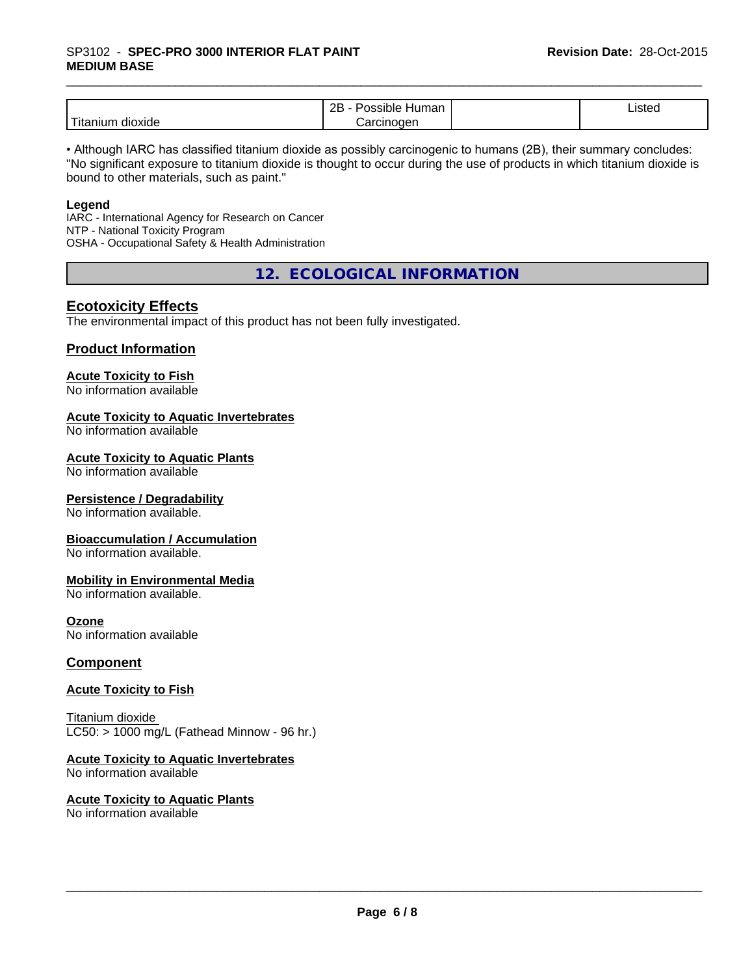# \_\_\_\_\_\_\_\_\_\_\_\_\_\_\_\_\_\_\_\_\_\_\_\_\_\_\_\_\_\_\_\_\_\_\_\_\_\_\_\_\_\_\_\_\_\_\_\_\_\_\_\_\_\_\_\_\_\_\_\_\_\_\_\_\_\_\_\_\_\_\_\_\_\_\_\_\_\_\_\_\_\_\_\_\_\_\_\_\_\_\_\_\_ SP3102 - **SPEC-PRO <sup>3000</sup> INTERIOR FLAT PAINT MEDIUM BASE**

|                           | ם ה<br>Humar<br>.<br>DIE<br>мπ<br>∼ | $\overline{\phantom{a}}$<br>Listed |  |
|---------------------------|-------------------------------------|------------------------------------|--|
| .<br>dioxide<br>l itanıun | arcinoqen<br>ہر                     |                                    |  |

• Although IARC has classified titanium dioxide as possibly carcinogenic to humans (2B), their summary concludes: "No significant exposure to titanium dioxide is thought to occur during the use of products in which titanium dioxide is bound to other materials, such as paint."

#### **Legend**

IARC - International Agency for Research on Cancer NTP - National Toxicity Program OSHA - Occupational Safety & Health Administration

**12. ECOLOGICAL INFORMATION**

## **Ecotoxicity Effects**

The environmental impact of this product has not been fully investigated.

#### **Product Information**

#### **Acute Toxicity to Fish**

No information available

#### **Acute Toxicity to Aquatic Invertebrates**

No information available

#### **Acute Toxicity to Aquatic Plants**

No information available

#### **Persistence / Degradability**

No information available.

#### **Bioaccumulation / Accumulation**

No information available.

#### **Mobility in Environmental Media**

No information available.

#### **Ozone**

No information available

#### **Component**

#### **Acute Toxicity to Fish**

Titanium dioxide  $LC50:$  > 1000 mg/L (Fathead Minnow - 96 hr.)

## **Acute Toxicity to Aquatic Invertebrates**

No information available

#### **Acute Toxicity to Aquatic Plants** No information available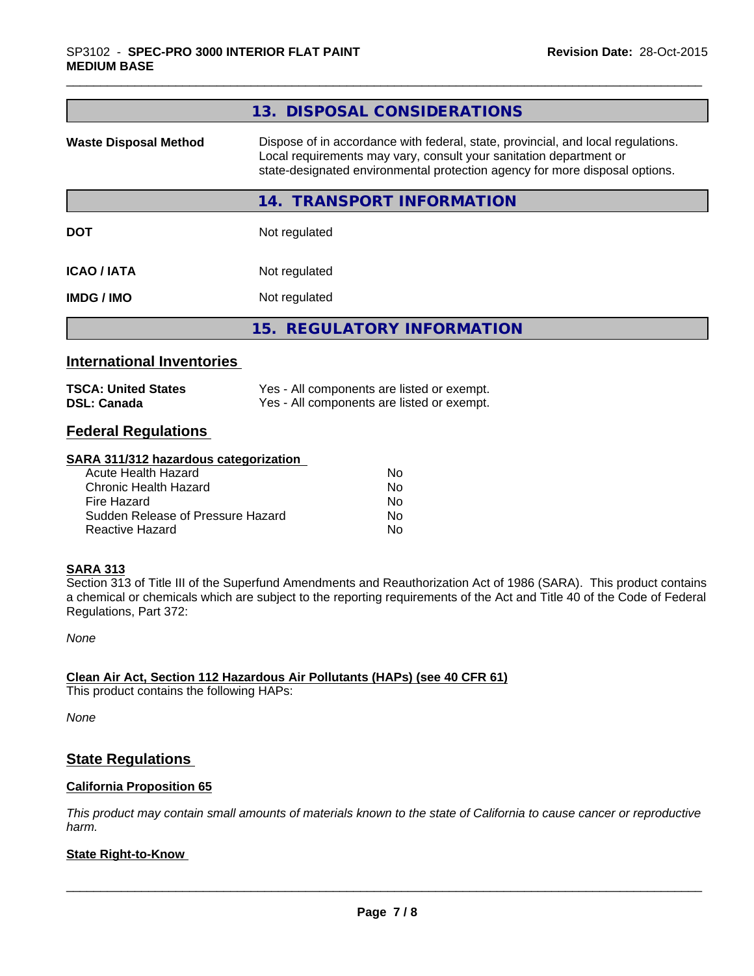|                                                  | 13. DISPOSAL CONSIDERATIONS                                                                                                                                                                                                           |
|--------------------------------------------------|---------------------------------------------------------------------------------------------------------------------------------------------------------------------------------------------------------------------------------------|
| <b>Waste Disposal Method</b>                     | Dispose of in accordance with federal, state, provincial, and local regulations.<br>Local requirements may vary, consult your sanitation department or<br>state-designated environmental protection agency for more disposal options. |
|                                                  | 14. TRANSPORT INFORMATION                                                                                                                                                                                                             |
| <b>DOT</b>                                       | Not regulated                                                                                                                                                                                                                         |
| <b>ICAO / IATA</b>                               | Not regulated                                                                                                                                                                                                                         |
| <b>IMDG / IMO</b>                                | Not regulated                                                                                                                                                                                                                         |
|                                                  | 15. REGULATORY INFORMATION                                                                                                                                                                                                            |
| <b>International Inventories</b>                 |                                                                                                                                                                                                                                       |
| <b>TSCA: United States</b><br><b>DSL: Canada</b> | Yes - All components are listed or exempt.<br>Yes - All components are listed or exempt.                                                                                                                                              |

## **Federal Regulations**

#### **SARA 311/312 hazardous categorization**

| Acute Health Hazard               | No. |
|-----------------------------------|-----|
| Chronic Health Hazard             | Nο  |
| Fire Hazard                       | No. |
| Sudden Release of Pressure Hazard | Nο  |
| Reactive Hazard                   | N٥  |

## **SARA 313**

Section 313 of Title III of the Superfund Amendments and Reauthorization Act of 1986 (SARA). This product contains a chemical or chemicals which are subject to the reporting requirements of the Act and Title 40 of the Code of Federal Regulations, Part 372:

*None*

#### **Clean Air Act,Section 112 Hazardous Air Pollutants (HAPs) (see 40 CFR 61)**

This product contains the following HAPs:

*None*

## **State Regulations**

#### **California Proposition 65**

This product may contain small amounts of materials known to the state of California to cause cancer or reproductive *harm.*

## **State Right-to-Know**